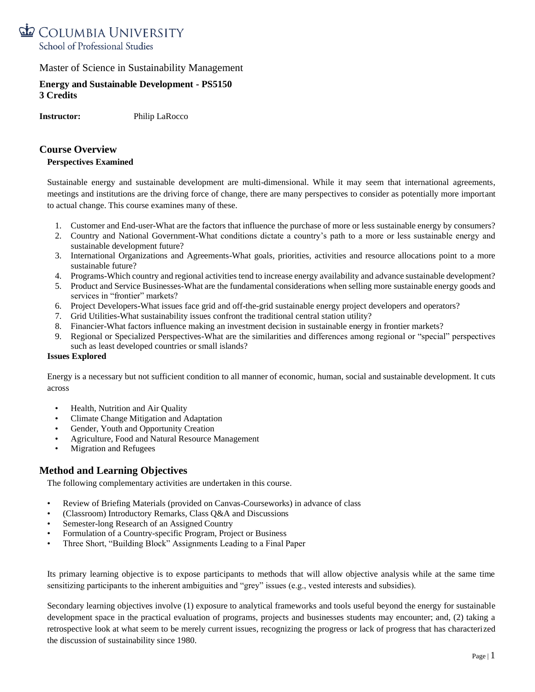

## **Energy and Sustainable Development - PS5150 3 Credits**

**Instructor:** Philip LaRocco

# **Course Overview**

#### **Perspectives Examined**

Sustainable energy and sustainable development are multi-dimensional. While it may seem that international agreements, meetings and institutions are the driving force of change, there are many perspectives to consider as potentially more important to actual change. This course examines many of these.

- 1. Customer and End-user-What are the factors that influence the purchase of more or less sustainable energy by consumers?
- 2. Country and National Government-What conditions dictate a country's path to a more or less sustainable energy and sustainable development future?
- 3. International Organizations and Agreements-What goals, priorities, activities and resource allocations point to a more sustainable future?
- 4. Programs-Which country and regional activities tend to increase energy availability and advance sustainable development?
- 5. Product and Service Businesses-What are the fundamental considerations when selling more sustainable energy goods and services in "frontier" markets?
- 6. Project Developers-What issues face grid and off-the-grid sustainable energy project developers and operators?
- 7. Grid Utilities-What sustainability issues confront the traditional central station utility?
- 8. Financier-What factors influence making an investment decision in sustainable energy in frontier markets?
- 9. Regional or Specialized Perspectives-What are the similarities and differences among regional or "special" perspectives such as least developed countries or small islands?

#### **Issues Explored**

Energy is a necessary but not sufficient condition to all manner of economic, human, social and sustainable development. It cuts across

- Health, Nutrition and Air Quality
- Climate Change Mitigation and Adaptation
- Gender, Youth and Opportunity Creation
- Agriculture, Food and Natural Resource Management
- Migration and Refugees

# **Method and Learning Objectives**

The following complementary activities are undertaken in this course.

- Review of Briefing Materials (provided on Canvas-Courseworks) in advance of class
- (Classroom) Introductory Remarks, Class Q&A and Discussions
- Semester-long Research of an Assigned Country
- Formulation of a Country-specific Program, Project or Business
- Three Short, "Building Block" Assignments Leading to a Final Paper

Its primary learning objective is to expose participants to methods that will allow objective analysis while at the same time sensitizing participants to the inherent ambiguities and "grey" issues (e.g., vested interests and subsidies).

Secondary learning objectives involve (1) exposure to analytical frameworks and tools useful beyond the energy for sustainable development space in the practical evaluation of programs, projects and businesses students may encounter; and, (2) taking a retrospective look at what seem to be merely current issues, recognizing the progress or lack of progress that has characterized the discussion of sustainability since 1980.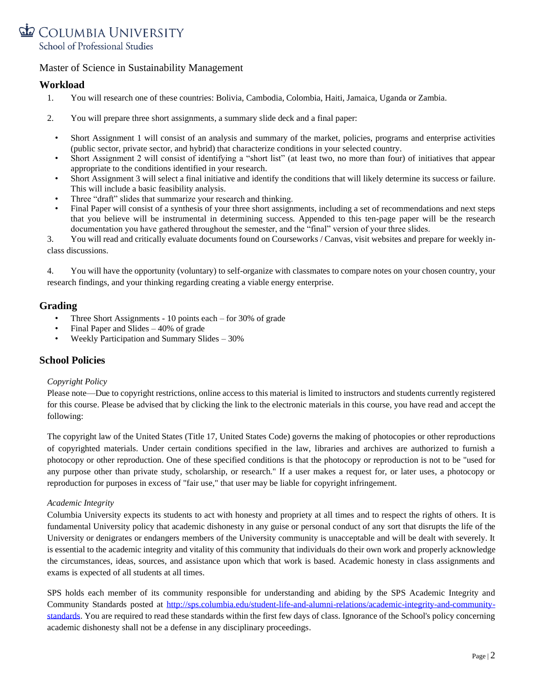

## **Workload**

- 1. You will research one of these countries: Bolivia, Cambodia, Colombia, Haiti, Jamaica, Uganda or Zambia.
- 2. You will prepare three short assignments, a summary slide deck and a final paper:
	- Short Assignment 1 will consist of an analysis and summary of the market, policies, programs and enterprise activities (public sector, private sector, and hybrid) that characterize conditions in your selected country.
	- Short Assignment 2 will consist of identifying a "short list" (at least two, no more than four) of initiatives that appear appropriate to the conditions identified in your research.
	- Short Assignment 3 will select a final initiative and identify the conditions that will likely determine its success or failure. This will include a basic feasibility analysis.
	- Three "draft" slides that summarize your research and thinking.
	- Final Paper will consist of a synthesis of your three short assignments, including a set of recommendations and next steps that you believe will be instrumental in determining success. Appended to this ten-page paper will be the research documentation you have gathered throughout the semester, and the "final" version of your three slides.

3. You will read and critically evaluate documents found on Courseworks / Canvas, visit websites and prepare for weekly inclass discussions.

4. You will have the opportunity (voluntary) to self-organize with classmates to compare notes on your chosen country, your research findings, and your thinking regarding creating a viable energy enterprise.

## **Grading**

- Three Short Assignments 10 points each for 30% of grade
- Final Paper and Slides  $-40\%$  of grade
- Weekly Participation and Summary Slides 30%

## **School Policies**

#### *Copyright Policy*

Please note—Due to copyright restrictions, online access to this material is limited to instructors and students currently registered for this course. Please be advised that by clicking the link to the electronic materials in this course, you have read and accept the following:

The copyright law of the United States (Title 17, United States Code) governs the making of photocopies or other reproductions of copyrighted materials. Under certain conditions specified in the law, libraries and archives are authorized to furnish a photocopy or other reproduction. One of these specified conditions is that the photocopy or reproduction is not to be "used for any purpose other than private study, scholarship, or research." If a user makes a request for, or later uses, a photocopy or reproduction for purposes in excess of "fair use," that user may be liable for copyright infringement.

#### *Academic Integrity*

Columbia University expects its students to act with honesty and propriety at all times and to respect the rights of others. It is fundamental University policy that academic dishonesty in any guise or personal conduct of any sort that disrupts the life of the University or denigrates or endangers members of the University community is unacceptable and will be dealt with severely. It is essential to the academic integrity and vitality of this community that individuals do their own work and properly acknowledge the circumstances, ideas, sources, and assistance upon which that work is based. Academic honesty in class assignments and exams is expected of all students at all times.

SPS holds each member of its community responsible for understanding and abiding by the SPS Academic Integrity and Community Standards posted at [http://sps.columbia.edu/student-life-and-alumni-relations/academic-integrity-and-community](http://sps.columbia.edu/student-life-and-alumni-relations/academic-integrity-and-community-standards)[standards.](http://sps.columbia.edu/student-life-and-alumni-relations/academic-integrity-and-community-standards) You are required to read these standards within the first few days of class. Ignorance of the School's policy concerning academic dishonesty shall not be a defense in any disciplinary proceedings.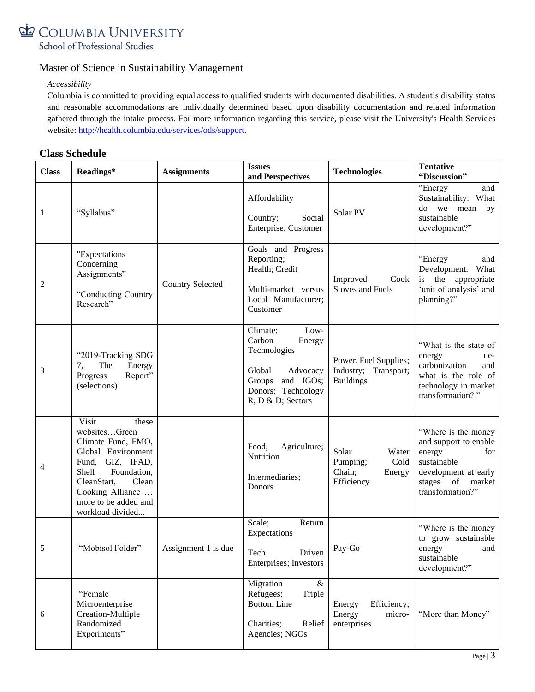

#### *Accessibility*

Columbia is committed to providing equal access to qualified students with documented disabilities. A student's disability status and reasonable accommodations are individually determined based upon disability documentation and related information gathered through the intake process. For more information regarding this service, please visit the University's Health Services website: [http://health.columbia.edu/services/ods/support.](http://health.columbia.edu/services/ods/support)

# **Class Schedule**

| <b>Class</b> | Readings*                                                                                                                                                                                                       | <b>Assignments</b>      | <b>Issues</b><br>and Perspectives                                                                                                         | <b>Technologies</b>                                                  | <b>Tentative</b><br>"Discussion"                                                                                                                |
|--------------|-----------------------------------------------------------------------------------------------------------------------------------------------------------------------------------------------------------------|-------------------------|-------------------------------------------------------------------------------------------------------------------------------------------|----------------------------------------------------------------------|-------------------------------------------------------------------------------------------------------------------------------------------------|
| 1            | "Syllabus"                                                                                                                                                                                                      |                         | Affordability<br>Social<br>Country;<br>Enterprise; Customer                                                                               | Solar PV                                                             | "Energy<br>and<br>Sustainability: What<br>do we mean<br>by<br>sustainable<br>development?"                                                      |
| 2            | "Expectations<br>Concerning<br>Assignments"<br>"Conducting Country<br>Research"                                                                                                                                 | <b>Country Selected</b> | Goals and Progress<br>Reporting;<br>Health; Credit<br>Multi-market versus<br>Local Manufacturer;<br>Customer                              | Improved<br>Cook<br><b>Stoves and Fuels</b>                          | "Energy<br>and<br>Development: What<br>is the appropriate<br>'unit of analysis' and<br>planning?"                                               |
| 3            | "2019-Tracking SDG<br>The<br>Energy<br>7,<br>Progress<br>Report"<br>(selections)                                                                                                                                |                         | Climate;<br>Low-<br>Carbon<br>Energy<br>Technologies<br>Global<br>Advocacy<br>Groups and IGOs;<br>Donors; Technology<br>R, D & D; Sectors | Power, Fuel Supplies;<br>Industry;<br>Transport;<br><b>Buildings</b> | "What is the state of<br>de-<br>energy<br>carbonization<br>and<br>what is the role of<br>technology in market<br>transformation?"               |
| 4            | Visit<br>these<br>websitesGreen<br>Climate Fund, FMO,<br>Global Environment<br>Fund, GIZ, IFAD,<br>Shell<br>Foundation,<br>CleanStart,<br>Clean<br>Cooking Alliance<br>more to be added and<br>workload divided |                         | Food;<br>Agriculture;<br>Nutrition<br>Intermediaries;<br>Donors                                                                           | Solar<br>Water<br>Pumping;<br>Cold<br>Chain;<br>Energy<br>Efficiency | "Where is the money<br>and support to enable<br>energy<br>for<br>sustainable<br>development at early<br>stages of<br>market<br>transformation?" |
| 5            | "Mobisol Folder"                                                                                                                                                                                                | Assignment 1 is due     | Scale;<br>Return<br>Expectations<br>Tech Driven<br>Enterprises; Investors                                                                 | Pay-Go                                                               | "Where is the money<br>to grow sustainable<br>energy<br>and<br>sustainable<br>development?"                                                     |
| 6            | "Female<br>Microenterprise<br>Creation-Multiple<br>Randomized<br>Experiments"                                                                                                                                   |                         | Migration<br>$\&$<br>Refugees;<br>Triple<br><b>Bottom Line</b><br>Charities;<br>Relief<br>Agencies; NGOs                                  | Energy<br>Efficiency;<br>Energy<br>micro-<br>enterprises             | "More than Money"                                                                                                                               |